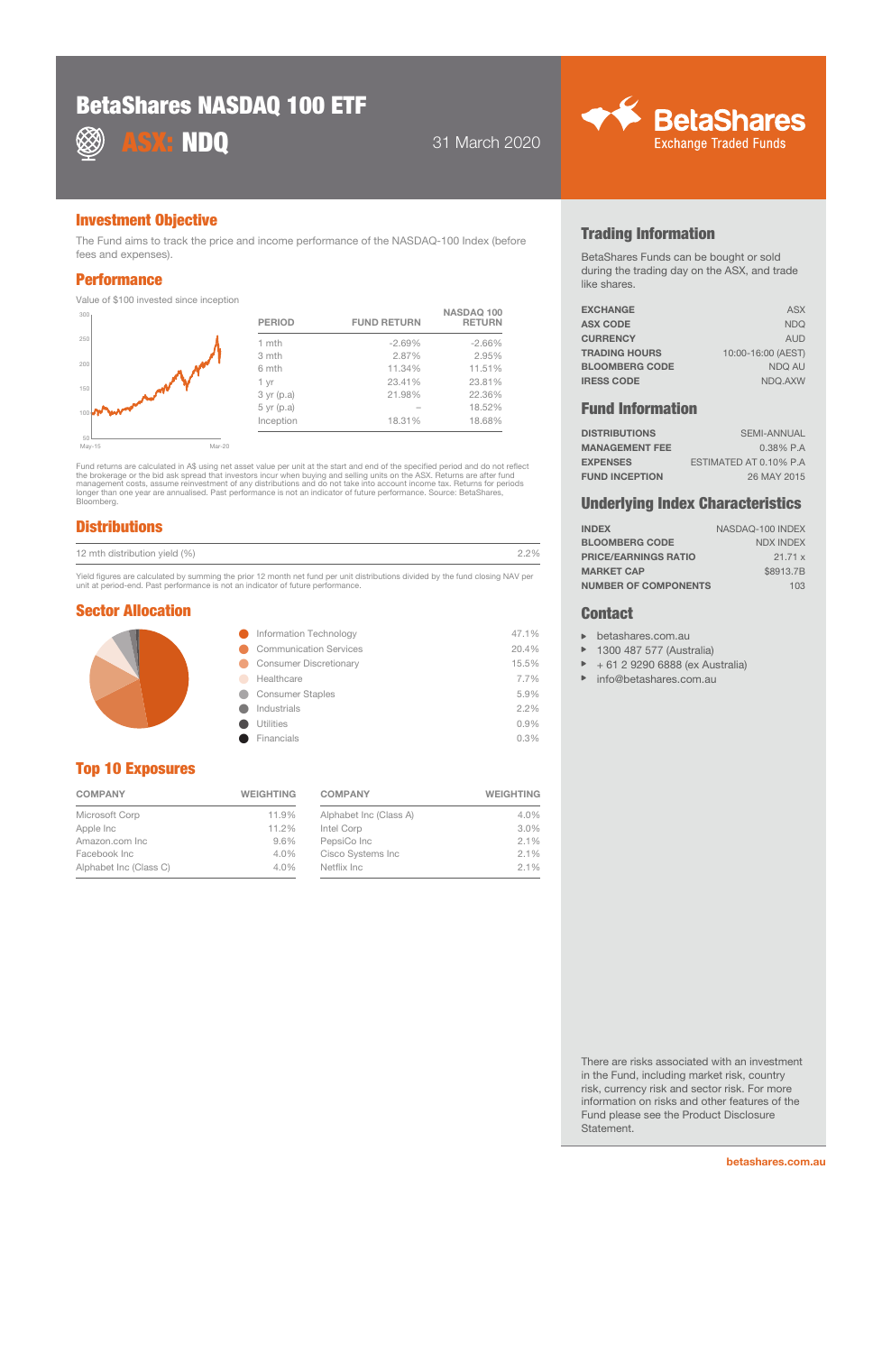# BetaShares NASDAQ 100 ETF



**ASX: NDQ** 31 March 2020



#### Investment Objective

The Fund aims to track the price and income performance of the NASDAQ-100 Index (before fees and expenses).

#### **Performance**

Value of \$100 invested since inception

| 300 <sub>1</sub> | <b>PERIOD</b> | <b>FUND RETURN</b> | NASDAQ 100<br><b>RETURN</b> |
|------------------|---------------|--------------------|-----------------------------|
| 250              | 1 mth         | $-2.69%$           | $-2.66%$                    |
|                  | 3 mth         | 2.87%              | 2.95%                       |
| 200              | 6 mth         | 11.34%             | 11.51%                      |
|                  | 1 yr          | 23.41%             | 23.81%                      |
| 150              | $3$ yr (p.a)  | 21.98%             | 22.36%                      |
| 100              | $5$ yr (p.a)  |                    | 18.52%                      |
|                  | Inception     | 18.31%             | 18.68%                      |
| $\sim$           |               |                    |                             |

50<br>May-15  $Mar-20$ 

Fund returns are calculated in A\$ using net asset value per unit at the start and end of the specified period and do not reflect<br>the brokerage or the bid ask spread that investors incur when buying and selling units on the longer than one year are annualised. Past performance is not an indicator of future performance. Source: BetaShares, Bloomberg.

### **Distributions**

| 12 mth distribution yield (%) | 70/0 |
|-------------------------------|------|
|-------------------------------|------|

Yield figures are calculated by summing the prior 12 month net fund per unit distributions divided by the fund closing NAV per unit at period-end. Past performance is not an indicator of future performance.

#### Sector Allocation

| Information Technology        | 47.1%   |
|-------------------------------|---------|
| <b>Communication Services</b> | 20.4%   |
| <b>Consumer Discretionary</b> | 15.5%   |
| Healthcare                    | 7.7%    |
| <b>Consumer Staples</b>       | 5.9%    |
| Industrials                   | $2.2\%$ |
| <b>Utilities</b>              | 0.9%    |
| Financials                    | 0.3%    |
|                               |         |

# Top 10 Exposures

| <b>COMPANY</b>         | <b>WEIGHTING</b> |  |
|------------------------|------------------|--|
| Microsoft Corp         | 11.9%            |  |
| Apple Inc              | 11.2%            |  |
| Amazon.com Inc.        | 9.6%             |  |
| Facebook Inc           | 4.0%             |  |
| Alphabet Inc (Class C) | 4.0%             |  |

| <b>COMPANY</b>         | <b>WEIGHTING</b> |  |
|------------------------|------------------|--|
| Alphabet Inc (Class A) | 4.0%             |  |
| Intel Corp             | 3.0%             |  |
| PepsiCo Inc            | 2.1%             |  |
| Cisco Systems Inc      | 2.1%             |  |
| Netflix Inc.           | 2.1%             |  |

## Trading Information

BetaShares Funds can be bought or sold during the trading day on the ASX, and trade like shares.

| <b>EXCHANGE</b>       | <b>ASX</b>         |
|-----------------------|--------------------|
| <b>ASX CODE</b>       | <b>NDO</b>         |
| <b>CURRENCY</b>       | <b>AUD</b>         |
| <b>TRADING HOURS</b>  | 10:00-16:00 (AEST) |
| <b>BLOOMBERG CODE</b> | NDO AU             |
| <b>IRESS CODE</b>     | NDQ.AXW            |
|                       |                    |

### Fund Information

| <b>DISTRIBUTIONS</b>  | <b>SEMI-ANNUAL</b>     |
|-----------------------|------------------------|
| <b>MANAGEMENT FEE</b> | $0.38\%$ P.A           |
| <b>EXPENSES</b>       | ESTIMATED AT 0.10% P.A |
| <b>FUND INCEPTION</b> | 26 MAY 2015            |

#### Underlying Index Characteristics

| <b>INDEX</b>                | NASDAQ-100 INDEX |
|-----------------------------|------------------|
| <b>BLOOMBERG CODE</b>       | <b>NDX INDEX</b> |
| <b>PRICE/EARNINGS RATIO</b> | 21.71x           |
| <b>MARKET CAP</b>           | \$8913.7B        |
| <b>NUMBER OF COMPONENTS</b> | 103              |

#### **Contact**

- **betashares.com.au**
- ▶ 1300 487 577 (Australia)
- $\mathbf{p}$ + 61 2 9290 6888 (ex Australia)
- $\mathbf{p}$ info@betashares.com.au

There are risks associated with an investment in the Fund, including market risk, country risk, currency risk and sector risk. For more information on risks and other features of the Fund please see the Product Disclosure Statement.